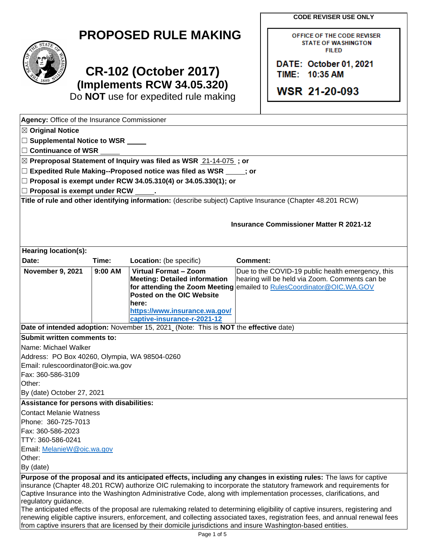**CODE REVISER USE ONLY** 

OFFICE OF THE CODE REVISER **STATE OF WASHINGTON FILED** 

**DATE: October 01, 2021** 

TIIME: **10:35, AM** 

**WSR 21-20-093** 

| <b>PROPOSED RULE MAKING</b> |  |  |
|-----------------------------|--|--|
|-----------------------------|--|--|



# **CR-102 (October 2017) (Implements RCW 34.05.320)**

Do **NOT** use for expedited rule making

| Agency: Office of the Insurance Commissioner                                                                                 |           |                                                                                          |                                                                                                                                |
|------------------------------------------------------------------------------------------------------------------------------|-----------|------------------------------------------------------------------------------------------|--------------------------------------------------------------------------------------------------------------------------------|
| <b>△ Original Notice</b>                                                                                                     |           |                                                                                          |                                                                                                                                |
| $\Box$ Supplemental Notice to WSR $\Box$                                                                                     |           |                                                                                          |                                                                                                                                |
| $\Box$ Continuance of WSR                                                                                                    |           |                                                                                          |                                                                                                                                |
|                                                                                                                              |           | ⊠ Preproposal Statement of Inquiry was filed as WSR 21-14-075; or                        |                                                                                                                                |
|                                                                                                                              |           | $\Box$ Expedited Rule Making--Proposed notice was filed as WSR $\rule{1em}{0.15mm}$ ; or |                                                                                                                                |
|                                                                                                                              |           | $□$ Proposal is exempt under RCW 34.05.310(4) or 34.05.330(1); or                        |                                                                                                                                |
| $\Box$ Proposal is exempt under RCW                                                                                          |           |                                                                                          |                                                                                                                                |
|                                                                                                                              |           |                                                                                          | Title of rule and other identifying information: (describe subject) Captive Insurance (Chapter 48.201 RCW)                     |
|                                                                                                                              |           |                                                                                          |                                                                                                                                |
|                                                                                                                              |           |                                                                                          | <b>Insurance Commissioner Matter R 2021-12</b>                                                                                 |
|                                                                                                                              |           |                                                                                          |                                                                                                                                |
|                                                                                                                              |           |                                                                                          |                                                                                                                                |
| Hearing location(s):                                                                                                         |           |                                                                                          |                                                                                                                                |
| Date:                                                                                                                        | Time:     | Location: (be specific)                                                                  | <b>Comment:</b>                                                                                                                |
| <b>November 9, 2021</b>                                                                                                      | $9:00$ AM | <b>Virtual Format - Zoom</b>                                                             | Due to the COVID-19 public health emergency, this                                                                              |
|                                                                                                                              |           | <b>Meeting: Detailed information</b>                                                     | hearing will be held via Zoom. Comments can be                                                                                 |
|                                                                                                                              |           | Posted on the OIC Website                                                                | for attending the Zoom Meeting emailed to RulesCoordinator@OIC.WA.GOV                                                          |
|                                                                                                                              |           | here:                                                                                    |                                                                                                                                |
|                                                                                                                              |           | https://www.insurance.wa.gov/                                                            |                                                                                                                                |
|                                                                                                                              |           | captive-insurance-r-2021-12                                                              |                                                                                                                                |
|                                                                                                                              |           | Date of intended adoption: November 15, 2021 (Note: This is NOT the effective date)      |                                                                                                                                |
| Submit written comments to:                                                                                                  |           |                                                                                          |                                                                                                                                |
| Name: Michael Walker                                                                                                         |           |                                                                                          |                                                                                                                                |
| Address: PO Box 40260, Olympia, WA 98504-0260                                                                                |           |                                                                                          |                                                                                                                                |
| Email: rulescoordinator@oic.wa.gov                                                                                           |           |                                                                                          |                                                                                                                                |
| Fax: 360-586-3109<br>Other:                                                                                                  |           |                                                                                          |                                                                                                                                |
|                                                                                                                              |           |                                                                                          |                                                                                                                                |
| By (date) October 27, 2021                                                                                                   |           |                                                                                          |                                                                                                                                |
| Assistance for persons with disabilities:<br><b>Contact Melanie Watness</b>                                                  |           |                                                                                          |                                                                                                                                |
| Phone: 360-725-7013                                                                                                          |           |                                                                                          |                                                                                                                                |
| Fax: 360-586-2023                                                                                                            |           |                                                                                          |                                                                                                                                |
| TTY: 360-586-0241                                                                                                            |           |                                                                                          |                                                                                                                                |
| Email: MelanieW@oic.wa.gov                                                                                                   |           |                                                                                          |                                                                                                                                |
| Other:                                                                                                                       |           |                                                                                          |                                                                                                                                |
| By (date)                                                                                                                    |           |                                                                                          |                                                                                                                                |
|                                                                                                                              |           |                                                                                          | Purpose of the proposal and its anticipated effects, including any changes in existing rules: The laws for captive             |
| insurance (Chapter 48.201 RCW) authorize OIC rulemaking to incorporate the statutory framework and requirements for          |           |                                                                                          |                                                                                                                                |
| Captive Insurance into the Washington Administrative Code, along with implementation processes, clarifications, and          |           |                                                                                          |                                                                                                                                |
| regulatory guidance.                                                                                                         |           |                                                                                          | The anticipated effects of the proposal are rulemaking related to determining eligibility of captive insurers, registering and |
| renewing eligible captive insurers, enforcement, and collecting associated taxes, registration fees, and annual renewal fees |           |                                                                                          |                                                                                                                                |

from captive insurers that are licensed by their domicile jurisdictions and insure Washington-based entities.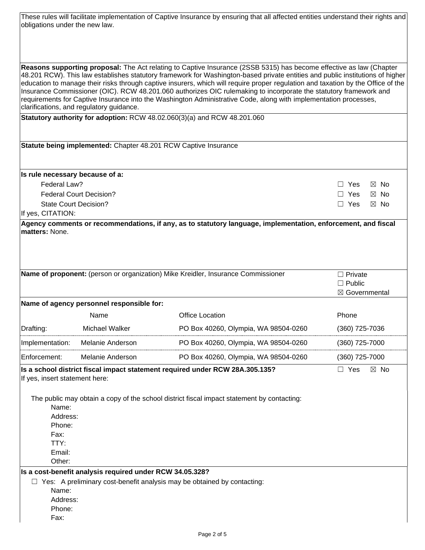| obligations under the new law.                                  |                                                                 | These rules will facilitate implementation of Captive Insurance by ensuring that all affected entities understand their rights and                                                                                                                                                                                                                                                                                                                                                                                                                                                                                                |                                                   |
|-----------------------------------------------------------------|-----------------------------------------------------------------|-----------------------------------------------------------------------------------------------------------------------------------------------------------------------------------------------------------------------------------------------------------------------------------------------------------------------------------------------------------------------------------------------------------------------------------------------------------------------------------------------------------------------------------------------------------------------------------------------------------------------------------|---------------------------------------------------|
|                                                                 |                                                                 |                                                                                                                                                                                                                                                                                                                                                                                                                                                                                                                                                                                                                                   |                                                   |
|                                                                 | clarifications, and regulatory guidance.                        | Reasons supporting proposal: The Act relating to Captive Insurance (2SSB 5315) has become effective as law (Chapter<br>48.201 RCW). This law establishes statutory framework for Washington-based private entities and public institutions of higher<br>education to manage their risks through captive insurers, which will require proper regulation and taxation by the Office of the<br>Insurance Commissioner (OIC). RCW 48.201.060 authorizes OIC rulemaking to incorporate the statutory framework and<br>requirements for Captive Insurance into the Washington Administrative Code, along with implementation processes, |                                                   |
|                                                                 |                                                                 | Statutory authority for adoption: RCW 48.02.060(3)(a) and RCW 48.201.060                                                                                                                                                                                                                                                                                                                                                                                                                                                                                                                                                          |                                                   |
|                                                                 | Statute being implemented: Chapter 48.201 RCW Captive Insurance |                                                                                                                                                                                                                                                                                                                                                                                                                                                                                                                                                                                                                                   |                                                   |
| Is rule necessary because of a:                                 |                                                                 |                                                                                                                                                                                                                                                                                                                                                                                                                                                                                                                                                                                                                                   |                                                   |
| Federal Law?                                                    |                                                                 |                                                                                                                                                                                                                                                                                                                                                                                                                                                                                                                                                                                                                                   | $\Box$ Yes<br>$\boxtimes$ No                      |
|                                                                 | <b>Federal Court Decision?</b>                                  |                                                                                                                                                                                                                                                                                                                                                                                                                                                                                                                                                                                                                                   | $\Box$ Yes<br>$\boxtimes$ No                      |
| <b>State Court Decision?</b><br>If yes, CITATION:               |                                                                 |                                                                                                                                                                                                                                                                                                                                                                                                                                                                                                                                                                                                                                   | $\Box$ Yes<br>$\boxtimes$ No                      |
| <b>matters: None.</b>                                           |                                                                 |                                                                                                                                                                                                                                                                                                                                                                                                                                                                                                                                                                                                                                   |                                                   |
|                                                                 |                                                                 | Name of proponent: (person or organization) Mike Kreidler, Insurance Commissioner                                                                                                                                                                                                                                                                                                                                                                                                                                                                                                                                                 | $\Box$ Private<br>$\Box$ Public<br>⊠ Governmental |
|                                                                 | Name of agency personnel responsible for:                       |                                                                                                                                                                                                                                                                                                                                                                                                                                                                                                                                                                                                                                   |                                                   |
|                                                                 | Name                                                            | <b>Office Location</b>                                                                                                                                                                                                                                                                                                                                                                                                                                                                                                                                                                                                            | Phone                                             |
| Drafting:                                                       | Michael Walker                                                  | PO Box 40260, Olympia, WA 98504-0260                                                                                                                                                                                                                                                                                                                                                                                                                                                                                                                                                                                              | (360) 725-7036                                    |
| Implementation:                                                 | Melanie Anderson                                                | PO Box 40260, Olympia, WA 98504-0260                                                                                                                                                                                                                                                                                                                                                                                                                                                                                                                                                                                              | (360) 725-7000                                    |
| Enforcement:                                                    | Melanie Anderson                                                | PO Box 40260, Olympia, WA 98504-0260                                                                                                                                                                                                                                                                                                                                                                                                                                                                                                                                                                                              | (360) 725-7000                                    |
| If yes, insert statement here:                                  |                                                                 | Is a school district fiscal impact statement required under RCW 28A.305.135?                                                                                                                                                                                                                                                                                                                                                                                                                                                                                                                                                      | $\Box$ Yes<br>$\boxtimes$ No                      |
| Name:<br>Address:<br>Phone:<br>Fax:<br>TTY:<br>Email:<br>Other: |                                                                 | The public may obtain a copy of the school district fiscal impact statement by contacting:                                                                                                                                                                                                                                                                                                                                                                                                                                                                                                                                        |                                                   |
|                                                                 | Is a cost-benefit analysis required under RCW 34.05.328?        |                                                                                                                                                                                                                                                                                                                                                                                                                                                                                                                                                                                                                                   |                                                   |
| Name:<br>Address:<br>Phone:<br>Fax:                             |                                                                 | $\Box$ Yes: A preliminary cost-benefit analysis may be obtained by contacting:                                                                                                                                                                                                                                                                                                                                                                                                                                                                                                                                                    |                                                   |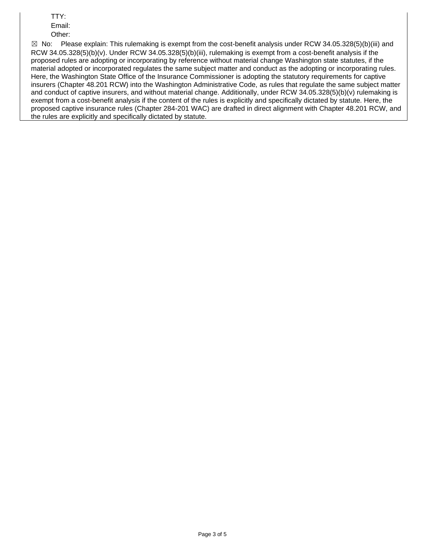TTY: Email:

Other:

 $\boxtimes$  No: and conduct of captive insurers, and without material change. Additionally, under RCW 34.05.328(5)(b)(v) rulemaking is Please explain: This rulemaking is exempt from the cost-benefit analysis under RCW 34.05.328(5)(b)(iii) and RCW 34.05.328(5)(b)(v). Under RCW 34.05.328(5)(b)(iii), rulemaking is exempt from a cost-benefit analysis if the proposed rules are adopting or incorporating by reference without material change Washington state statutes, if the material adopted or incorporated regulates the same subject matter and conduct as the adopting or incorporating rules. Here, the Washington State Office of the Insurance Commissioner is adopting the statutory requirements for captive insurers (Chapter 48.201 RCW) into the Washington Administrative Code, as rules that regulate the same subject matter exempt from a cost-benefit analysis if the content of the rules is explicitly and specifically dictated by statute. Here, the proposed captive insurance rules (Chapter 284-201 WAC) are drafted in direct alignment with Chapter 48.201 RCW, and the rules are explicitly and specifically dictated by statute.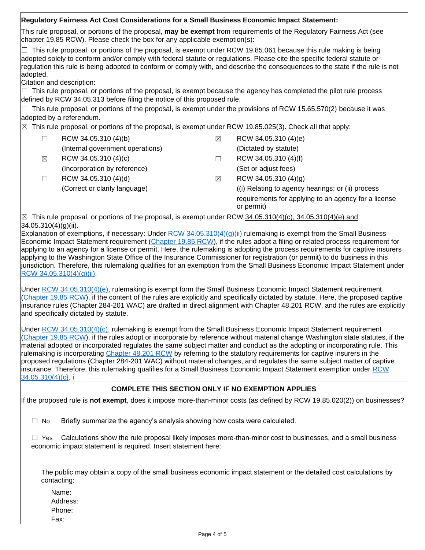# **Regulatory Fairness Act Cost Considerations for a Small Business Economic Impact Statement:**

 This rule proposal, or portions of the proposal, **may be exempt** from requirements of the Regulatory Fairness Act (see chapter 19.85 RCW). Please check the box for any applicable exemption(s):

 $\Box$  This rule proposal, or portions of the proposal, is exempt under RCW 19.85.061 because this rule making is being adopted solely to conform and/or comply with federal statute or regulations. Please cite the specific federal statute or regulation this rule is being adopted to conform or comply with, and describe the consequences to the state if the rule is not adopted.

Citation and description:

 $\Box$  This rule proposal, or portions of the proposal, is exempt because the agency has completed the pilot rule process defined by RCW 34.05.313 before filing the notice of this proposed rule.

 $\Box$  This rule proposal, or portions of the proposal, is exempt under the provisions of RCW 15.65.570(2) because it was adopted by a referendum.

 $\boxtimes$  This rule proposal, or portions of the proposal, is exempt under RCW 19.85.025(3). Check all that apply:

|   | RCW 34.05.310 (4)(b)             | $\boxtimes$ | RCW 34.05.310 (4)(e)                                               |
|---|----------------------------------|-------------|--------------------------------------------------------------------|
|   | (Internal government operations) |             | (Dictated by statute)                                              |
| ⊠ | RCW 34.05.310 (4)(c)             |             | RCW 34.05.310 (4)(f)                                               |
|   | (Incorporation by reference)     |             | (Set or adjust fees)                                               |
|   | RCW 34.05.310 (4)(d)             | $\boxtimes$ | RCW 34.05.310 (4)(g)                                               |
|   | (Correct or clarify language)    |             | ((i) Relating to agency hearings; or (ii) process                  |
|   |                                  |             | requirements for applying to an agency for a license<br>or permit) |
|   |                                  |             |                                                                    |

 $\boxtimes$  This rule proposal, or portions of the proposal, is exempt under RCW  $34.05.310(4)(c)$ ,  $34.05.310(4)(e)$  and 34.05.310(4)(g)(ii).

Economic Impact Statement requirement [\(Chapter 19.85 RCW\)](https://app.leg.wa.gov/rcw/default.aspx?cite=19.85), if the rules adopt a filing or related process requirement for applying to an agency for a license or permit. Here, the rulemaking is adopting the process requirements for captive insurers jurisdiction. Therefore, this rulemaking qualifies for an exemption from the Small Business Economic Impact Statement under Explanation of exemptions, if necessary: Under RCW  $34.05.310(4)(q)(ii)$  rulemaking is exempt from the Small Business applying to the Washington State Office of the Insurance Commissioner for registration (or permit) to do business in this [RCW 34.05.310\(4\)\(g\)\(ii\).](https://apps.leg.wa.gov/rcw/default.aspx?cite=34.05.310)

 and specifically dictated by statute. Under [RCW 34.05.310\(4\)\(e\),](https://apps.leg.wa.gov/rcw/default.aspx?cite=34.05.310) rulemaking is exempt form the Small Business Economic Impact Statement requirement [\(Chapter 19.85 RCW\)](https://app.leg.wa.gov/rcw/default.aspx?cite=19.85), if the content of the rules are explicitly and specifically dictated by statute. Here, the proposed captive insurance rules (Chapter 284-201 WAC) are drafted in direct alignment with Chapter 48.201 RCW, and the rules are explicitly

Under [RCW 34.05.310\(4\)\(c\),](https://apps.leg.wa.gov/rcw/default.aspx?cite=34.05.310) rulemaking is exempt from the Small Business Economic Impact Statement requirement insurance. Therefore, this rulemaking qualifies for a Small Business Economic Impact Statement exemption under RCW [\(Chapter 19.85 RCW\)](https://app.leg.wa.gov/rcw/default.aspx?cite=19.85), if the rules adopt or incorporate by reference without material change Washington state statutes, if the material adopted or incorporated regulates the same subject matter and conduct as the adopting or incorporating rule. This rulemaking is incorporating [Chapter 48.201 RCW](https://app.leg.wa.gov/RCW/default.aspx?cite=48.201) by referring to the statutory requirements for captive insurers in the proposed regulations (Chapter 284-201 WAC) without material changes, and regulates the same subject matter of captive [34.05.310\(4\)\(c\).](https://apps.leg.wa.gov/rcw/default.aspx?cite=34.05.310) i

# **COMPLETE THIS SECTION ONLY IF NO EXEMPTION APPLIES**

If the proposed rule is **not exempt**, does it impose more-than-minor costs (as defined by RCW 19.85.020(2)) on businesses?

 $\Box$  No Briefly summarize the agency's analysis showing how costs were calculated.

 $\Box$  Yes Calculations show the rule proposal likely imposes more-than-minor cost to businesses, and a small business economic impact statement is required. Insert statement here:

The public may obtain a copy of the small business economic impact statement or the detailed cost calculations by contacting:

Name: Address: Phone: Fax: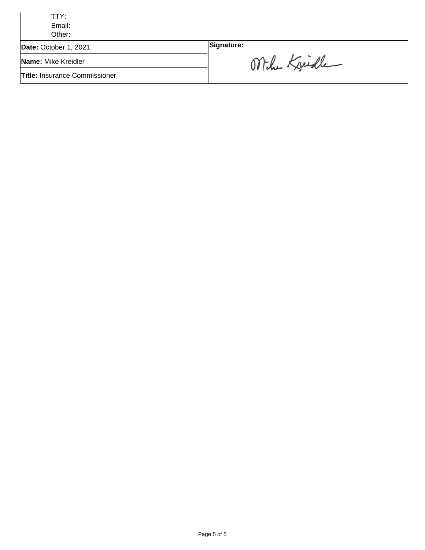| TTY:                                 |              |
|--------------------------------------|--------------|
| Email:                               |              |
| Other:                               |              |
| Date: October 1, 2021                | Signature:   |
| Name: Mike Kreidler                  | Mihe Kreiche |
| <b>Title: Insurance Commissioner</b> |              |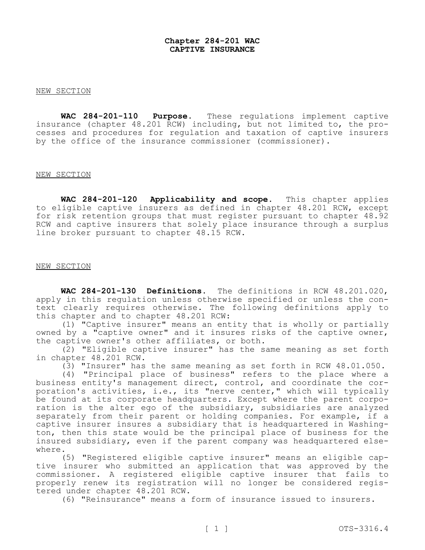### **Chapter 284-201 WAC CAPTIVE INSURANCE**

#### NEW SECTION

**WAC 284-201-110 Purpose.** These regulations implement captive insurance (chapter 48.201 RCW) including, but not limited to, the pro-**Purpose.** These regulations implement captive cesses and procedures for regulation and taxation of captive insurers by the office of the insurance commissioner (commissioner).

#### NEW SECTION

 **WAC 284-201-120 Applicability and scope.** This chapter applies to eligible captive insurers as defined in chapter 48.201 RCW, except for risk retention groups that must register pursuant to chapter 48.92 RCW and captive insurers that solely place insurance through a surplus line broker pursuant to chapter 48.15 RCW.

#### NEW SECTION

 **WAC 284-201-130 Definitions.** The definitions in RCW 48.201.020, apply in this regulation unless otherwise specified or unless the con- text clearly requires otherwise. The following definitions apply to this chapter and to chapter 48.201 RCW:

(1) "Captive insurer" means an entity that is wholly or partially owned by a "captive owner" and it insures risks of the captive owner, the captive owner's other affiliates, or both.

(2) "Eligible captive insurer" has the same meaning as set forth in chapter 48.201 RCW.

(3) "Insurer" has the same meaning as set forth in RCW 48.01.050.

 $(4)$  "Principal place of business" refers to the place where a business entity's management direct, control, and coordinate the corporation's activities, i.e., its "nerve center," which will typically<br>be found at its corporate headquarters. Except where the parent corporation is the alter ego of the subsidiary, subsidiaries are analyzed separately from their parent or holding companies. For example, if a captive insurer insures a subsidiary that is headquartered in Washington, then this state would be the principal place of business for the insured subsidiary, even if the parent company was headquartered elsewhere.

(5) "Registered eligible captive insurer" means an eligible captive insurer who submitted an application that was approved by the commissioner. A registered eligible captive insurer that fails to properly renew its registration will no longer be considered regis-<br>tered under chapter 48.201 RCW.

(6) "Reinsurance" means a form of insurance issued to insurers.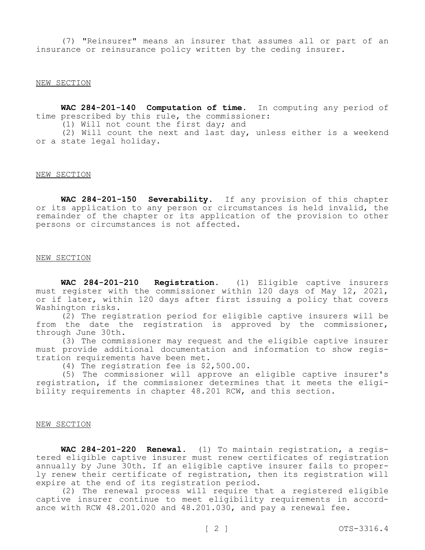(7) "Reinsurer" means an insurer that assumes all or part of an insurance or reinsurance policy written by the ceding insurer.

#### NEW SECTION

 **WAC 284-201-140 Computation of time.** In computing any period of time prescribed by this rule, the commissioner:

 $(1)$  Will not count the first day; and

(2) Will count the next and last day, unless either is a weekend or a state legal holiday.

#### NEW SECTION

 **WAC 284-201-150 Severability.** If any provision of this chapter or its application to any person or circumstances is held invalid, the remainder of the chapter or its application of the provision to other persons or circumstances is not affected.

#### NEW SECTION

WAC 284-201-210 **Registration.** (1) Eligible captive insurers must register with the commissioner within 120 days of May 12, 2021, or if later, within 120 days after first issuing a policy that covers Washington risks.

(2) The registration period for eligible captive insurers will be from the date the registration is approved by the commissioner, through June 30th.

(3) The commissioner may request and the eligible captive insurer must provide additional documentation and information to show regis-<br>tration requirements have been met.<br>(4) The registration fee is \$2,500.00.

(5) The commissioner will approve an eligible captive insurer's registration, if the commissioner determines that it meets the eligi- bility requirements in chapter 48.201 RCW, and this section.

#### NEW SECTION

 **WAC 284-201-220 Renewal.** (1) To maintain registration, a registered eligible captive insurer must renew certificates of registration annually by June 30th. If an eligible captive insurer fails to properly renew their certificate of registration, then its registration will expire at the end of its registration period.

(2) The renewal process will require that a registered eligible captive insurer continue to meet eligibility requirements in accord-<br>ance with RCW 48.201.020 and 48.201.030, and pay a renewal fee.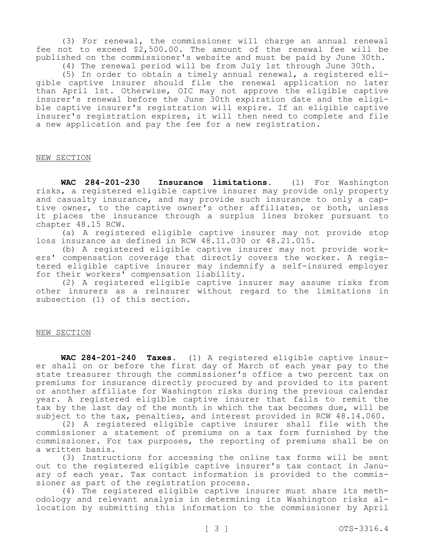(3) For renewal, the commissioner will charge an annual renewal fee not to exceed \$[2,500.00](https://2,500.00). The amount of the renewal fee will be published on the commissioner's website and must be paid by June 30th.

(4) The renewal period will be from July 1st through June 30th.<br>(5) In order to obtain a timely annual renewal, a registered eliqible captive insurer should file the renewal application no later than April 1st. Otherwise, OIC may not approve the eligible captive insurer's renewal before the June 30th expiration date and the eligi-<br>ble captive insurer's registration will expire. If an eligible captive insurer's registration expires, it will then need to complete and file a new application and pay the fee for a new registration.

## NEW SECTION

WAC 284-201-230 **Insurance limitations.** (1) For Washington risks, a registered eligible captive insurer may provide only property<br>and casualty insurance, and may provide such insurance to only a captive owner, to the captive owner's other affiliates, or both, unless it places the insurance through a surplus lines broker pursuant to chapter 48.15 RCW.

(a) A registered eligible captive insurer may not provide stop loss insurance as defined in RCW 48.11.030 or 48.21.015.<br>(b) A registered eligible captive insurer may not provide work-

ers' compensation coverage that directly covers the worker. A regis-<br>tered eligible captive insurer may indemnify a self-insured employer for their workers' compensation liability.

(2) A registered eligible captive insurer may assume risks from other insurers as a reinsurer without regard to the limitations in subsection (1) of this section.

# NEW SECTION

**WAC 284-201-240 Taxes.** (1) A registered eligible captive insurer shall on or before the first day of March of each year pay to the state treasurer through the commissioner's office a two percent tax on premiums for insurance directly procured by and provided to its parent or another affiliate for Washington risks during the previous calendar year. A registered eligible captive insurer that fails to remit the tax by the last day of the month in which the tax becomes due, will be subject to the tax, penalties, and interest provided in RCW 48.14.060.

(2) A registered eligible captive insurer shall file with the commissioner a statement of premiums on a tax form furnished by the commissioner. For tax purposes, the reporting of premiums shall be on a written basis.

(3) Instructions for accessing the online tax forms will be sent out to the registered eligible captive insurer's tax contact in January of each year. Tax contact information is provided to the commissioner as part of the registration process.<br>(4) The registered eligible captive insurer must share its meth-

odology and relevant analysis in determining its Washington risks al-<br>location by submitting this information to the commissioner by April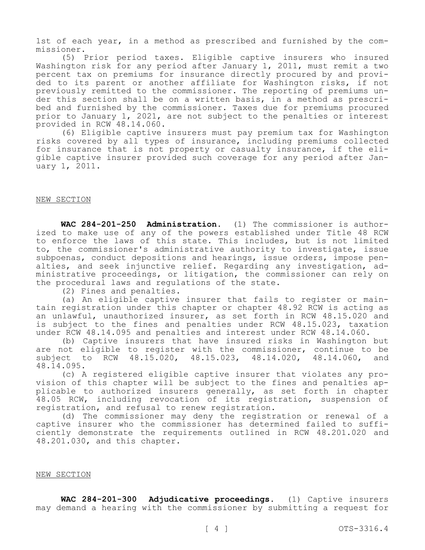1st of each year, in a method as prescribed and furnished by the com- missioner.

(5) Prior period taxes. Eligible captive insurers who insured Washington risk for any period after January 1, 2011, must remit a two percent tax on premiums for insurance directly procured by and provi-<br>ded to its parent or another affiliate for Washington risks, if not<br>previously remitted to the commissioner. The reporting of premiums under this section shall be on a written basis, in a method as prescri-<br>bed and furnished by the commissioner. Taxes due for premiums procured prior to January 1, 2021, are not subject to the penalties or interest provided in RCW 48.14.060.

(6) Eligible captive insurers must pay premium tax for Washington risks covered by all types of insurance, including premiums collected<br>for insurance that is not property or casualty insurance, if the eligible captive insurer provided such coverage for any period after Jan-<br>uary 1, 2011.

#### NEW SECTION

**WAC 284-201-250 Administration.** (1) The commissioner is authorized to make use of any of the powers established under Title 48 RCW to enforce the laws of this state. This includes, but is not limited to, the commissioner's administrative authority to investigate, issue<br>subpoenas, conduct depositions and hearings, issue orders, impose penalties, and seek injunctive relief. Regarding any investigation, ad- ministrative proceedings, or litigation, the commissioner can rely on the procedural laws and regulations of the state.

(2) Fines and penalties.<br>(a) An eligible captive insurer that fails to register or maintain registration under this chapter or chapter 48.92 RCW is acting as an unlawful, unauthorized insurer, as set forth in RCW 48.15.020 and is subject to the fines and penalties under RCW 48.15.023, taxation under RCW 48.14.095 and penalties and interest under RCW 48.14.060.

(b) Captive insurers that have insured risks in Washington but are not eligible to register with the commissioner, continue to be subject to RCW 48.15.020, 48.15.023, 48.14.020, 48.14.060, and

48.14.095.<br>(c) A registered eligible captive insurer that violates any provision of this chapter will be subject to the fines and penalties ap-<br>plicable to authorized insurers generally, as set forth in chapter 48.05 RCW, including revocation of its registration, suspension of registration, and refusal to renew registration.

(d) The commissioner may deny the registration or renewal of a captive insurer who the commissioner has determined failed to sufficiently demonstrate the requirements outlined in RCW 48.201.020 and 48.201.030, and this chapter.

#### NEW SECTION

 **WAC 284-201-300 Adjudicative proceedings.** (1) Captive insurers may demand a hearing with the commissioner by submitting a request for